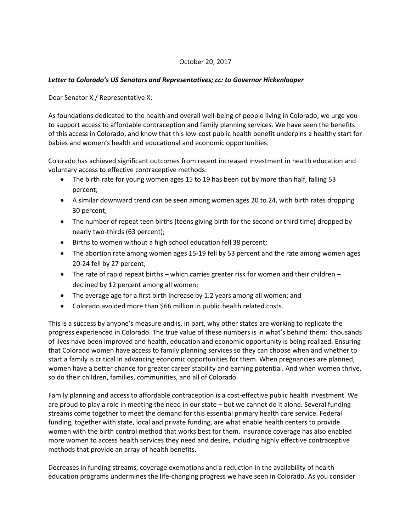## October 20, 2017

## *Letter to Colorado's US Senators and Representatives; cc: to Governor Hickenlooper*

Dear Senator X / Representative X:

As foundations dedicated to the health and overall well-being of people living in Colorado, we urge you to support access to affordable contraception and family planning services. We have seen the benefits of this access in Colorado, and know that this low-cost public health benefit underpins a healthy start for babies and women's health and educational and economic opportunities.

Colorado has achieved significant outcomes from recent increased investment in health education and voluntary access to effective contraceptive methods:

- The birth rate for young women ages 15 to 19 has been cut by more than half, falling 53 percent;
- A similar downward trend can be seen among women ages 20 to 24, with birth rates dropping 30 percent;
- The number of repeat teen births (teens giving birth for the second or third time) dropped by nearly two-thirds (63 percent);
- Births to women without a high school education fell 38 percent;
- The abortion rate among women ages 15-19 fell by 53 percent and the rate among women ages 20-24 fell by 27 percent;
- The rate of rapid repeat births which carries greater risk for women and their children declined by 12 percent among all women;
- The average age for a first birth increase by 1.2 years among all women; and
- Colorado avoided more than \$66 million in public health related costs.

This is a success by anyone's measure and is, in part, why other states are working to replicate the progress experienced in Colorado. The true value of these numbers is in what's behind them: thousands of lives have been improved and health, education and economic opportunity is being realized. Ensuring that Colorado women have access to family planning services so they can choose when and whether to start a family is critical in advancing economic opportunities for them. When pregnancies are planned, women have a better chance for greater career stability and earning potential. And when women thrive, so do their children, families, communities, and all of Colorado.

Family planning and access to affordable contraception is a cost-effective public health investment. We are proud to play a role in meeting the need in our state – but we cannot do it alone. Several funding streams come together to meet the demand for this essential primary health care service. Federal funding, together with state, local and private funding, are what enable health centers to provide women with the birth control method that works best for them. Insurance coverage has also enabled more women to access health services they need and desire, including highly effective contraceptive methods that provide an array of health benefits.

Decreases in funding streams, coverage exemptions and a reduction in the availability of health education programs undermines the life-changing progress we have seen in Colorado. As you consider